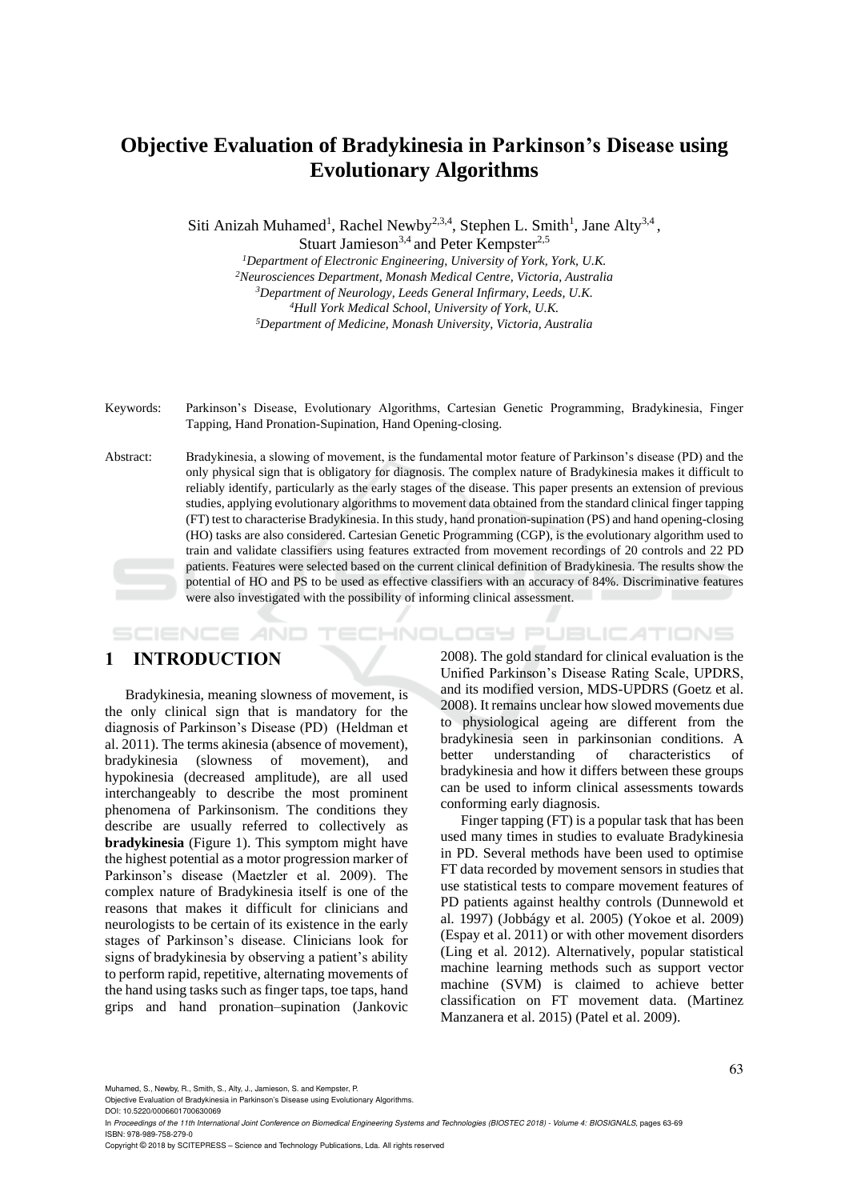# **Objective Evaluation of Bradykinesia in Parkinson's Disease using Evolutionary Algorithms**

Siti Anizah Muhamed<sup>1</sup>, Rachel Newby<sup>2,3,4</sup>, Stephen L. Smith<sup>1</sup>, Jane Alty<sup>3,4</sup>, Stuart Jamieson<sup>3,4</sup> and Peter Kempster<sup>2,5</sup>

> *Department of Electronic Engineering, University of York, York, U.K. Neurosciences Department, Monash Medical Centre, Victoria, Australia Department of Neurology, Leeds General Infirmary, Leeds, U.K. Hull York Medical School, University of York, U.K. Department of Medicine, Monash University, Victoria, Australia*

Keywords: Parkinson's Disease, Evolutionary Algorithms, Cartesian Genetic Programming, Bradykinesia, Finger Tapping, Hand Pronation-Supination, Hand Opening-closing.

Abstract: Bradykinesia, a slowing of movement, is the fundamental motor feature of Parkinson's disease (PD) and the only physical sign that is obligatory for diagnosis. The complex nature of Bradykinesia makes it difficult to reliably identify, particularly as the early stages of the disease. This paper presents an extension of previous studies, applying evolutionary algorithms to movement data obtained from the standard clinical finger tapping (FT) test to characterise Bradykinesia. In this study, hand pronation-supination (PS) and hand opening-closing (HO) tasks are also considered. Cartesian Genetic Programming (CGP), is the evolutionary algorithm used to train and validate classifiers using features extracted from movement recordings of 20 controls and 22 PD patients. Features were selected based on the current clinical definition of Bradykinesia. The results show the potential of HO and PS to be used as effective classifiers with an accuracy of 84%. Discriminative features were also investigated with the possibility of informing clinical assessment.

*IHNOLOGY PUBLICATIONS* SCIENCE *A*ND

# **1 INTRODUCTION**

Bradykinesia, meaning slowness of movement, is the only clinical sign that is mandatory for the diagnosis of Parkinson's Disease (PD) (Heldman et al. 2011). The terms akinesia (absence of movement), bradykinesia (slowness of movement), and hypokinesia (decreased amplitude), are all used interchangeably to describe the most prominent phenomena of Parkinsonism. The conditions they describe are usually referred to collectively as **bradykinesia** (Figure 1). This symptom might have the highest potential as a motor progression marker of Parkinson's disease (Maetzler et al. 2009). The complex nature of Bradykinesia itself is one of the reasons that makes it difficult for clinicians and neurologists to be certain of its existence in the early stages of Parkinson's disease. Clinicians look for signs of bradykinesia by observing a patient's ability to perform rapid, repetitive, alternating movements of the hand using tasks such as finger taps, toe taps, hand grips and hand pronation–supination (Jankovic

2008). The gold standard for clinical evaluation is the Unified Parkinson's Disease Rating Scale, UPDRS, and its modified version, MDS-UPDRS (Goetz et al. 2008). It remains unclear how slowed movements due to physiological ageing are different from the bradykinesia seen in parkinsonian conditions. A better understanding of characteristics of bradykinesia and how it differs between these groups can be used to inform clinical assessments towards conforming early diagnosis.

Finger tapping (FT) is a popular task that has been used many times in studies to evaluate Bradykinesia in PD. Several methods have been used to optimise FT data recorded by movement sensors in studies that use statistical tests to compare movement features of PD patients against healthy controls (Dunnewold et al. 1997) (Jobbágy et al. 2005) (Yokoe et al. 2009) (Espay et al. 2011) or with other movement disorders (Ling et al. 2012). Alternatively, popular statistical machine learning methods such as support vector machine (SVM) is claimed to achieve better classification on FT movement data. (Martinez Manzanera et al. 2015) (Patel et al. 2009).

Muhamed, S., Newby, R., Smith, S., Alty, J., Jamieson, S. and Kempster, P.

Objective Evaluation of Bradykinesia in Parkinson's Disease using Evolutionary Algorithms.

Copyright © 2018 by SCITEPRESS – Science and Technology Publications, Lda. All rights reserved

DOI: 10.5220/0006601700630069 In Proceedings of the 11th International Joint Conference on Biomedical Engineering Systems and Technologies (BIOSTEC 2018) - Volume 4: BIOSIGNALS, pages 63-69 ISBN: 978-989-758-279-0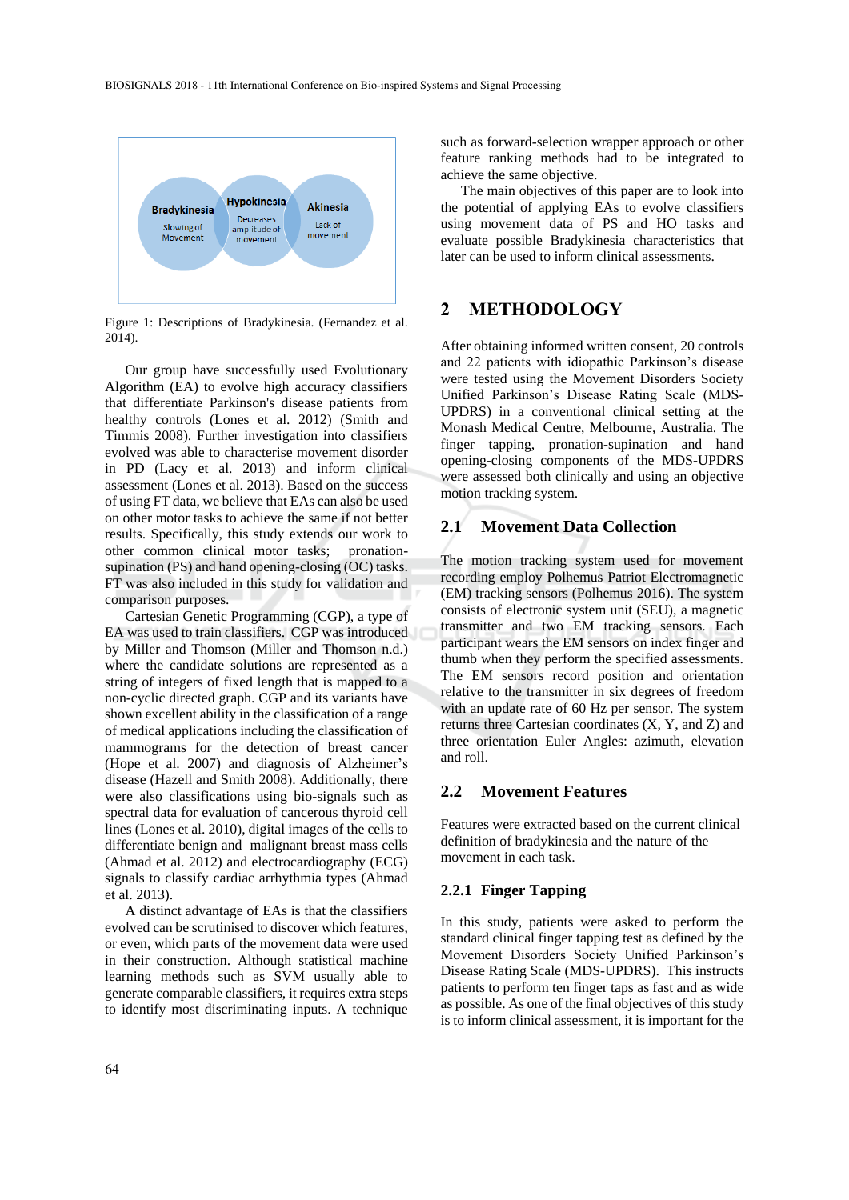

Figure 1: Descriptions of Bradykinesia. (Fernandez et al. 2014).

Our group have successfully used Evolutionary Algorithm (EA) to evolve high accuracy classifiers that differentiate Parkinson's disease patients from healthy controls (Lones et al. 2012) (Smith and Timmis 2008). Further investigation into classifiers evolved was able to characterise movement disorder in PD (Lacy et al. 2013) and inform clinical assessment (Lones et al. 2013). Based on the success of using FT data, we believe that EAs can also be used on other motor tasks to achieve the same if not better results. Specifically, this study extends our work to other common clinical motor tasks; pronationsupination (PS) and hand opening-closing (OC) tasks. FT was also included in this study for validation and comparison purposes.

Cartesian Genetic Programming (CGP), a type of EA was used to train classifiers. CGP was introduced by Miller and Thomson (Miller and Thomson n.d.) where the candidate solutions are represented as a string of integers of fixed length that is mapped to a non-cyclic directed graph. CGP and its variants have shown excellent ability in the classification of a range of medical applications including the classification of mammograms for the detection of breast cancer (Hope et al. 2007) and diagnosis of Alzheimer's disease (Hazell and Smith 2008). Additionally, there were also classifications using bio-signals such as spectral data for evaluation of cancerous thyroid cell lines (Lones et al. 2010), digital images of the cells to differentiate benign and malignant breast mass cells (Ahmad et al. 2012) and electrocardiography (ECG) signals to classify cardiac arrhythmia types (Ahmad et al. 2013).

A distinct advantage of EAs is that the classifiers evolved can be scrutinised to discover which features, or even, which parts of the movement data were used in their construction. Although statistical machine learning methods such as SVM usually able to generate comparable classifiers, it requires extra steps to identify most discriminating inputs. A technique

such as forward-selection wrapper approach or other feature ranking methods had to be integrated to achieve the same objective.

The main objectives of this paper are to look into the potential of applying EAs to evolve classifiers using movement data of PS and HO tasks and evaluate possible Bradykinesia characteristics that later can be used to inform clinical assessments.

# **2 METHODOLOGY**

After obtaining informed written consent, 20 controls and 22 patients with idiopathic Parkinson's disease were tested using the Movement Disorders Society Unified Parkinson's Disease Rating Scale (MDS-UPDRS) in a conventional clinical setting at the Monash Medical Centre, Melbourne, Australia. The finger tapping, pronation-supination and hand opening-closing components of the MDS-UPDRS were assessed both clinically and using an objective motion tracking system.

# **2.1 Movement Data Collection**

The motion tracking system used for movement recording employ Polhemus Patriot Electromagnetic (EM) tracking sensors (Polhemus 2016). The system consists of electronic system unit (SEU), a magnetic transmitter and two EM tracking sensors. Each participant wears the EM sensors on index finger and thumb when they perform the specified assessments. The EM sensors record position and orientation relative to the transmitter in six degrees of freedom with an update rate of 60 Hz per sensor. The system returns three Cartesian coordinates (X, Y, and Z) and three orientation Euler Angles: azimuth, elevation and roll.

### **2.2 Movement Features**

Features were extracted based on the current clinical definition of bradykinesia and the nature of the movement in each task.

### **2.2.1 Finger Tapping**

In this study, patients were asked to perform the standard clinical finger tapping test as defined by the Movement Disorders Society Unified Parkinson's Disease Rating Scale (MDS-UPDRS). This instructs patients to perform ten finger taps as fast and as wide as possible. As one of the final objectives of this study is to inform clinical assessment, it is important for the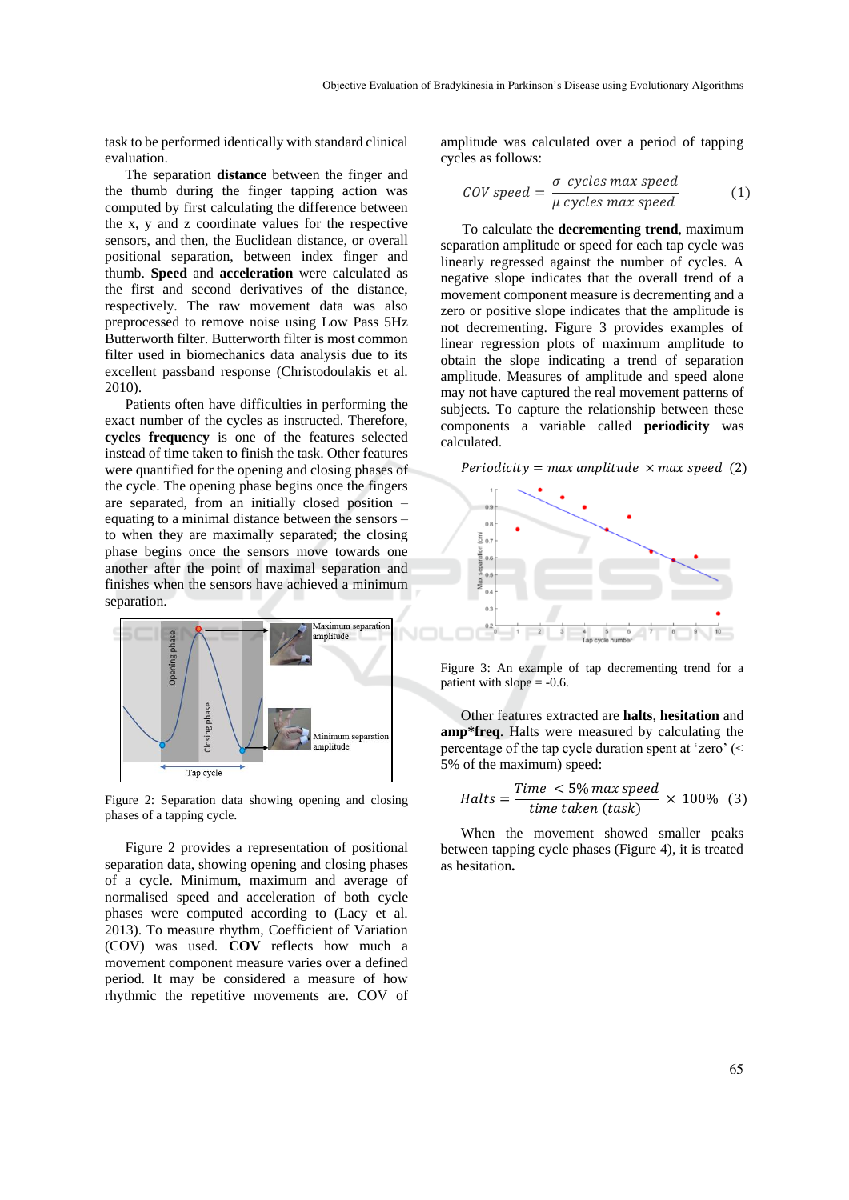task to be performed identically with standard clinical evaluation.

The separation **distance** between the finger and the thumb during the finger tapping action was computed by first calculating the difference between the x, y and z coordinate values for the respective sensors, and then, the Euclidean distance, or overall positional separation, between index finger and thumb. **Speed** and **acceleration** were calculated as the first and second derivatives of the distance, respectively. The raw movement data was also preprocessed to remove noise using Low Pass 5Hz Butterworth filter. Butterworth filter is most common filter used in biomechanics data analysis due to its excellent passband response (Christodoulakis et al. 2010).

Patients often have difficulties in performing the exact number of the cycles as instructed. Therefore, **cycles frequency** is one of the features selected instead of time taken to finish the task. Other features were quantified for the opening and closing phases of the cycle. The opening phase begins once the fingers are separated, from an initially closed position – equating to a minimal distance between the sensors – to when they are maximally separated; the closing phase begins once the sensors move towards one another after the point of maximal separation and finishes when the sensors have achieved a minimum separation.



Figure 2: Separation data showing opening and closing phases of a tapping cycle.

Figure 2 provides a representation of positional separation data, showing opening and closing phases of a cycle. Minimum, maximum and average of normalised speed and acceleration of both cycle phases were computed according to (Lacy et al. 2013). To measure rhythm, Coefficient of Variation (COV) was used. **COV** reflects how much a movement component measure varies over a defined period. It may be considered a measure of how rhythmic the repetitive movements are. COV of

amplitude was calculated over a period of tapping cycles as follows:

$$
COV speed = \frac{\sigma \ cycles \ max \ speed}{\mu \ cycles \ max \ speed}
$$
 (1)

To calculate the **decrementing trend**, maximum separation amplitude or speed for each tap cycle was linearly regressed against the number of cycles. A negative slope indicates that the overall trend of a movement component measure is decrementing and a zero or positive slope indicates that the amplitude is not decrementing. Figure 3 provides examples of linear regression plots of maximum amplitude to obtain the slope indicating a trend of separation amplitude. Measures of amplitude and speed alone may not have captured the real movement patterns of subjects. To capture the relationship between these components a variable called **periodicity** was calculated.

Periodicity =  $max$  amplitude  $\times$  max speed (2)



Figure 3: An example of tap decrementing trend for a patient with slope  $= -0.6$ .

Other features extracted are **halts**, **hesitation** and **amp\*freq**. Halts were measured by calculating the percentage of the tap cycle duration spent at 'zero' (< 5% of the maximum) speed:

$$
Halts = \frac{Time < 5\% max speed}{time taken (task)} \times 100\% \quad (3)
$$

When the movement showed smaller peaks between tapping cycle phases (Figure 4), it is treated as hesitation**.**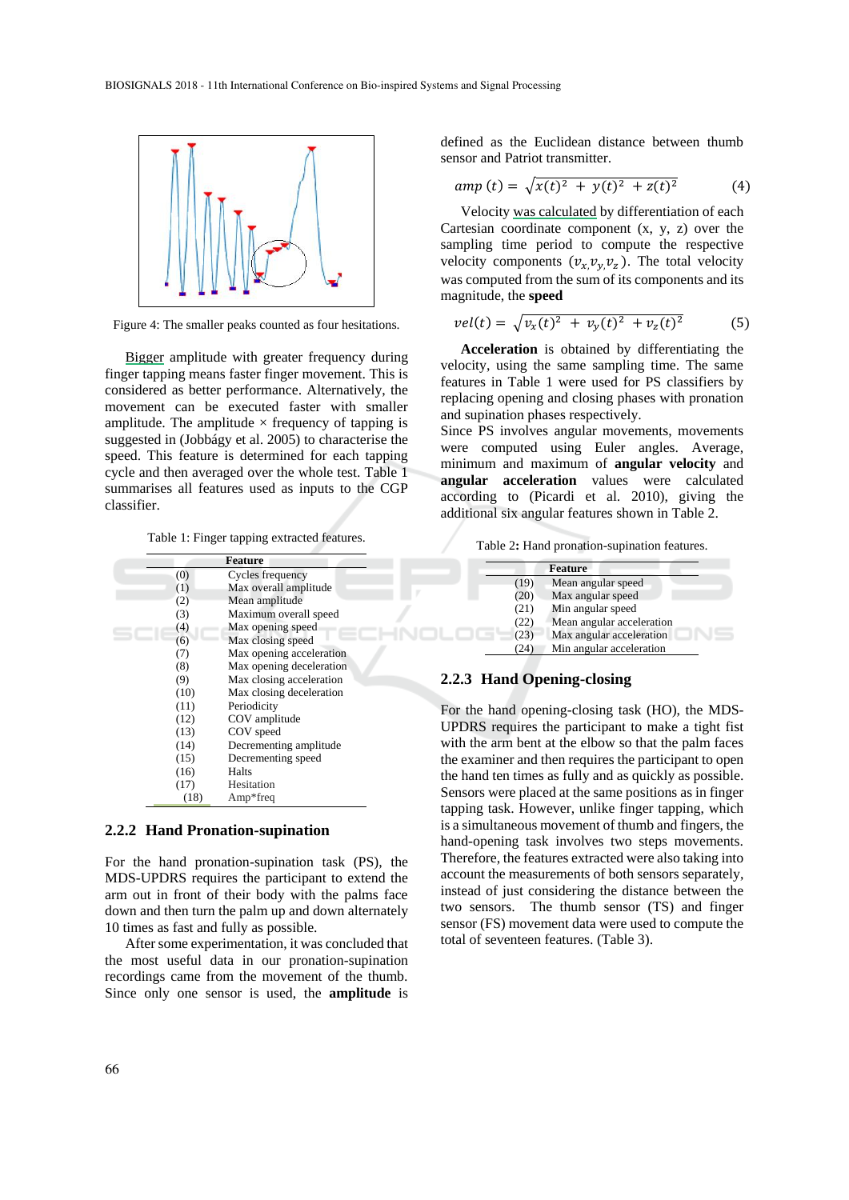

Figure 4: The smaller peaks counted as four hesitations.

Bigger amplitude with greater frequency during finger tapping means faster finger movement. This is considered as better performance. Alternatively, the movement can be executed faster with smaller amplitude. The amplitude  $\times$  frequency of tapping is suggested in (Jobbágy et al. 2005) to characterise the speed. This feature is determined for each tapping cycle and then averaged over the whole test. Table 1 summarises all features used as inputs to the CGP classifier.

Table 1: Finger tapping extracted features.

|      | <b>Feature</b>           |
|------|--------------------------|
| (0)  | Cycles frequency         |
| (1)  | Max overall amplitude    |
| (2)  | Mean amplitude           |
| (3)  | Maximum overall speed    |
| (4)  | Max opening speed        |
| (6)  | Max closing speed        |
| (7)  | Max opening acceleration |
| (8)  | Max opening deceleration |
| (9)  | Max closing acceleration |
| (10) | Max closing deceleration |
| (11) | Periodicity              |
| (12) | COV amplitude            |
| (13) | COV speed                |
| (14) | Decrementing amplitude   |
| (15) | Decrementing speed       |
| (16) | Halts                    |
| (17) | Hesitation               |
| (18) | $Amp*freq$               |

#### **2.2.2 Hand Pronation-supination**

For the hand pronation-supination task (PS), the MDS-UPDRS requires the participant to extend the arm out in front of their body with the palms face down and then turn the palm up and down alternately 10 times as fast and fully as possible.

After some experimentation, it was concluded that the most useful data in our pronation-supination recordings came from the movement of the thumb. Since only one sensor is used, the **amplitude** is

defined as the Euclidean distance between thumb sensor and Patriot transmitter.

$$
amp(t) = \sqrt{x(t)^2 + y(t)^2 + z(t)^2}
$$
 (4)

Velocity was calculated by differentiation of each Cartesian coordinate component  $(x, y, z)$  over the sampling time period to compute the respective velocity components  $(v_x, v_y, v_z)$ . The total velocity was computed from the sum of its components and its magnitude, the **speed**

$$
vel(t) = \sqrt{v_x(t)^2 + v_y(t)^2 + v_z(t)^2}
$$
 (5)

**Acceleration** is obtained by differentiating the velocity, using the same sampling time. The same features in Table 1 were used for PS classifiers by replacing opening and closing phases with pronation and supination phases respectively.

Since PS involves angular movements, movements were computed using Euler angles. Average, minimum and maximum of **angular velocity** and **angular acceleration** values were calculated according to (Picardi et al. 2010), giving the additional six angular features shown in Table 2.

Table 2**:** Hand pronation-supination features.

|      | Feature                   |
|------|---------------------------|
| (19) | Mean angular speed        |
| (20) | Max angular speed         |
| (21) | Min angular speed         |
| (22) | Mean angular acceleration |
| (23) | Max angular acceleration  |
|      | Min angular acceleration  |
|      |                           |

# **2.2.3 Hand Opening-closing**

For the hand opening-closing task (HO), the MDS-UPDRS requires the participant to make a tight fist with the arm bent at the elbow so that the palm faces the examiner and then requires the participant to open the hand ten times as fully and as quickly as possible. Sensors were placed at the same positions as in finger tapping task. However, unlike finger tapping, which is a simultaneous movement of thumb and fingers, the hand-opening task involves two steps movements. Therefore, the features extracted were also taking into account the measurements of both sensors separately, instead of just considering the distance between the two sensors. The thumb sensor (TS) and finger sensor (FS) movement data were used to compute the total of seventeen features. (Table 3).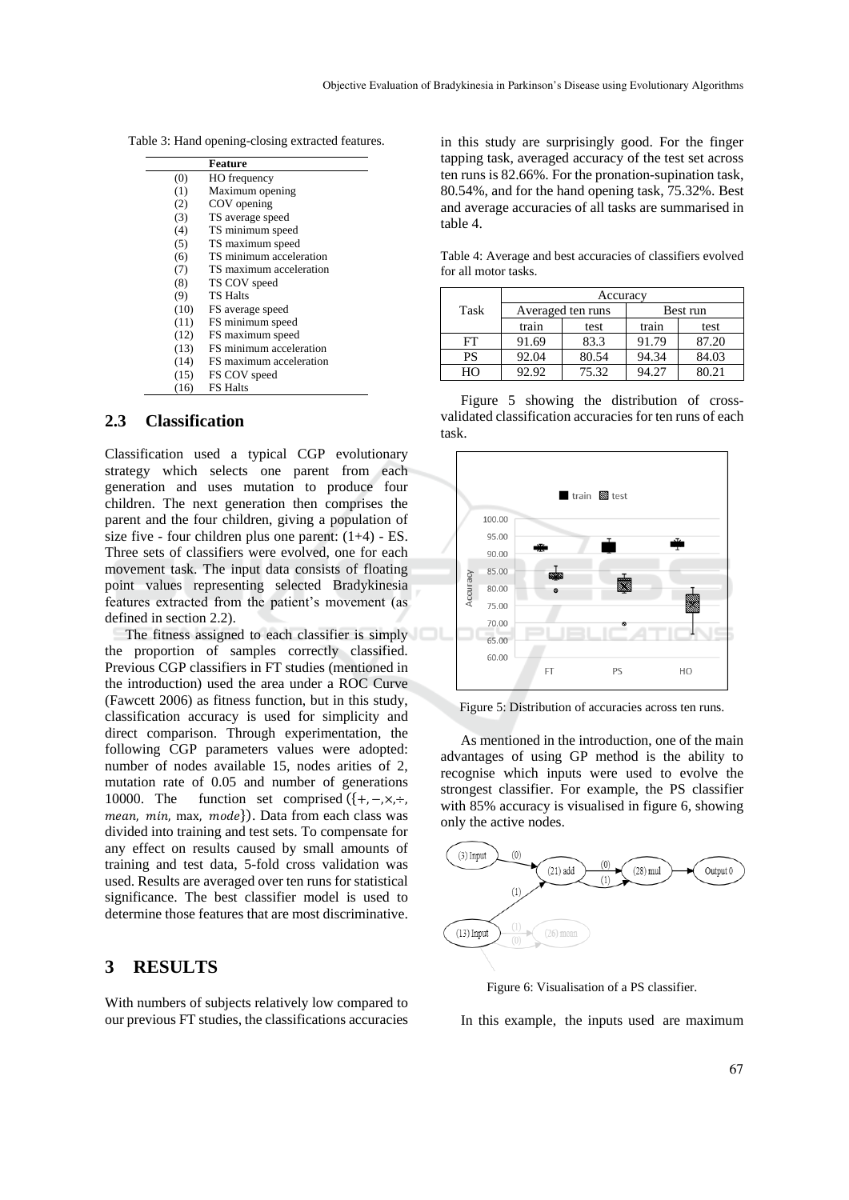Table 3: Hand opening-closing extracted features.

|      | Feature                 |
|------|-------------------------|
| (0)  | HO frequency            |
| (1)  | Maximum opening         |
| (2)  | COV opening             |
| (3)  | TS average speed        |
| (4)  | TS minimum speed        |
| (5)  | TS maximum speed        |
| (6)  | TS minimum acceleration |
| (7)  | TS maximum acceleration |
| (8)  | TS COV speed            |
| (9)  | <b>TS Halts</b>         |
| (10) | FS average speed        |
| (11) | FS minimum speed        |
| (12) | FS maximum speed        |
| (13) | FS minimum acceleration |
| (14) | FS maximum acceleration |
| (15) | FS COV speed            |
| (16) | <b>FS Halts</b>         |

# **2.3 Classification**

Classification used a typical CGP evolutionary strategy which selects one parent from each generation and uses mutation to produce four children. The next generation then comprises the parent and the four children, giving a population of size five - four children plus one parent:  $(1+4)$  - ES. Three sets of classifiers were evolved, one for each movement task. The input data consists of floating point values representing selected Bradykinesia features extracted from the patient's movement (as defined in section 2.2).

The fitness assigned to each classifier is simply the proportion of samples correctly classified. Previous CGP classifiers in FT studies (mentioned in the introduction) used the area under a ROC Curve (Fawcett 2006) as fitness function, but in this study, classification accuracy is used for simplicity and direct comparison. Through experimentation, the following CGP parameters values were adopted: number of nodes available 15, nodes arities of 2, mutation rate of 0.05 and number of generations 10000. The function set comprised  $({+, -,\times, +,\})$  $mean, min, max, mode$ . Data from each class was divided into training and test sets. To compensate for any effect on results caused by small amounts of training and test data, 5-fold cross validation was used. Results are averaged over ten runs for statistical significance. The best classifier model is used to determine those features that are most discriminative.

# **3 RESULTS**

With numbers of subjects relatively low compared to our previous FT studies, the classifications accuracies

in this study are surprisingly good. For the finger tapping task, averaged accuracy of the test set across ten runs is 82.66%. For the pronation-supination task, 80.54%, and for the hand opening task, 75.32%. Best and average accuracies of all tasks are summarised in table 4.

Table 4: Average and best accuracies of classifiers evolved for all motor tasks.

|      | Accuracy          |       |          |       |  |
|------|-------------------|-------|----------|-------|--|
| Task | Averaged ten runs |       | Best run |       |  |
|      | train             | test  | train    | test  |  |
| FT   | 91.69             | 83.3  | 91.79    | 87.20 |  |
| PS   | 92.04             | 80.54 | 94.34    | 84.03 |  |
| HΟ   | 92.92             | 75.32 | 94.27    | 80.21 |  |

Figure 5 showing the distribution of crossvalidated classification accuracies for ten runs of each task.



Figure 5: Distribution of accuracies across ten runs.

As mentioned in the introduction, one of the main advantages of using GP method is the ability to recognise which inputs were used to evolve the strongest classifier. For example, the PS classifier with 85% accuracy is visualised in figure 6, showing only the active nodes.



Figure 6: Visualisation of a PS classifier.

In this example, the inputs used are maximum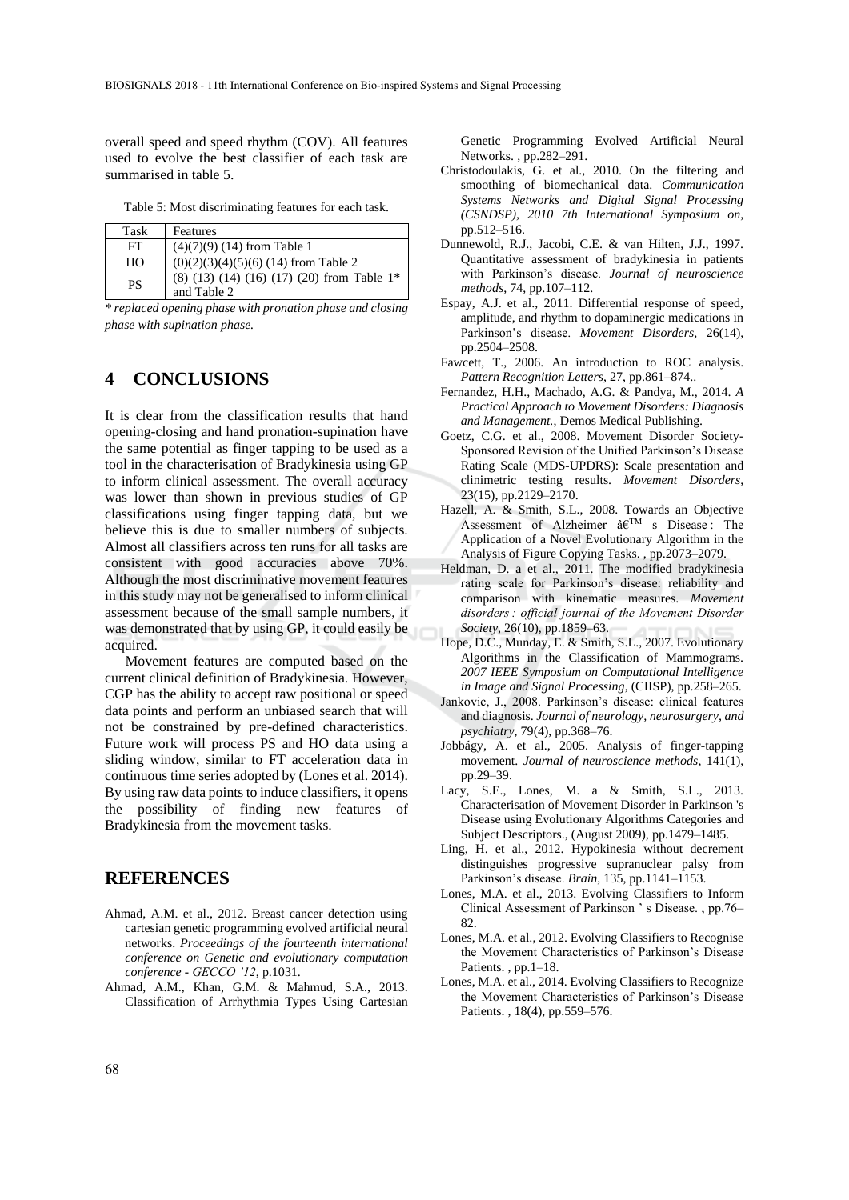overall speed and speed rhythm (COV). All features used to evolve the best classifier of each task are summarised in table 5.

Table 5: Most discriminating features for each task.

| Task      | Features                                                                          |
|-----------|-----------------------------------------------------------------------------------|
| FT        | $(4)(7)(9)$ (14) from Table 1                                                     |
| HO        | $(0)(2)(3)(4)(5)(6)$ (14) from Table 2                                            |
| <b>PS</b> | $(8)$ $(13)$ $(14)$ $(16)$ $(17)$ $(20)$ from Table 1 <sup>*</sup><br>and Table 2 |

*\* replaced opening phase with pronation phase and closing phase with supination phase.*

# **4 CONCLUSIONS**

It is clear from the classification results that hand opening-closing and hand pronation-supination have the same potential as finger tapping to be used as a tool in the characterisation of Bradykinesia using GP to inform clinical assessment. The overall accuracy was lower than shown in previous studies of GP classifications using finger tapping data, but we believe this is due to smaller numbers of subjects. Almost all classifiers across ten runs for all tasks are consistent with good accuracies above 70%. Although the most discriminative movement features in this study may not be generalised to inform clinical assessment because of the small sample numbers, it was demonstrated that by using GP, it could easily be acquired.

Movement features are computed based on the current clinical definition of Bradykinesia. However, CGP has the ability to accept raw positional or speed data points and perform an unbiased search that will not be constrained by pre-defined characteristics. Future work will process PS and HO data using a sliding window, similar to FT acceleration data in continuous time series adopted by (Lones et al. 2014). By using raw data points to induce classifiers, it opens the possibility of finding new features of Bradykinesia from the movement tasks.

# **REFERENCES**

- Ahmad, A.M. et al., 2012. Breast cancer detection using cartesian genetic programming evolved artificial neural networks. *Proceedings of the fourteenth international conference on Genetic and evolutionary computation conference - GECCO '12*, p.1031.
- Ahmad, A.M., Khan, G.M. & Mahmud, S.A., 2013. Classification of Arrhythmia Types Using Cartesian

Genetic Programming Evolved Artificial Neural Networks. , pp.282–291.

- Christodoulakis, G. et al., 2010. On the filtering and smoothing of biomechanical data. *Communication Systems Networks and Digital Signal Processing (CSNDSP), 2010 7th International Symposium on*, pp.512–516.
- Dunnewold, R.J., Jacobi, C.E. & van Hilten, J.J., 1997. Quantitative assessment of bradykinesia in patients with Parkinson's disease. *Journal of neuroscience methods*, 74, pp.107–112.
- Espay, A.J. et al., 2011. Differential response of speed, amplitude, and rhythm to dopaminergic medications in Parkinson's disease. *Movement Disorders*, 26(14), pp.2504–2508.
- Fawcett, T., 2006. An introduction to ROC analysis. *Pattern Recognition Letters*, 27, pp.861–874..
- Fernandez, H.H., Machado, A.G. & Pandya, M., 2014. *A Practical Approach to Movement Disorders: Diagnosis and Management.*, Demos Medical Publishing.
- Goetz, C.G. et al., 2008. Movement Disorder Society-Sponsored Revision of the Unified Parkinson's Disease Rating Scale (MDS-UPDRS): Scale presentation and clinimetric testing results. *Movement Disorders*, 23(15), pp.2129–2170.
- Hazell, A. & Smith, S.L., 2008. Towards an Objective Assessment of Alzheimer  $\hat{a} \in T^{M}$  s Disease: The Application of a Novel Evolutionary Algorithm in the Analysis of Figure Copying Tasks. , pp.2073–2079.
- Heldman, D. a et al., 2011. The modified bradykinesia rating scale for Parkinson's disease: reliability and comparison with kinematic measures. *Movement disorders : official journal of the Movement Disorder Society*, 26(10), pp.1859–63.
- Hope, D.C., Munday, E. & Smith, S.L., 2007. Evolutionary Algorithms in the Classification of Mammograms. *2007 IEEE Symposium on Computational Intelligence in Image and Signal Processing*, (CIISP), pp.258–265.
- Jankovic, J., 2008. Parkinson's disease: clinical features and diagnosis. *Journal of neurology, neurosurgery, and psychiatry*, 79(4), pp.368–76.
- Jobbágy, A. et al., 2005. Analysis of finger-tapping movement. *Journal of neuroscience methods*, 141(1), pp.29–39.
- Lacy, S.E., Lones, M. a & Smith, S.L., 2013. Characterisation of Movement Disorder in Parkinson 's Disease using Evolutionary Algorithms Categories and Subject Descriptors., (August 2009), pp.1479–1485.
- Ling, H. et al., 2012. Hypokinesia without decrement distinguishes progressive supranuclear palsy from Parkinson's disease. *Brain*, 135, pp.1141–1153.
- Lones, M.A. et al., 2013. Evolving Classifiers to Inform Clinical Assessment of Parkinson ' s Disease. , pp.76– 82.
- Lones, M.A. et al., 2012. Evolving Classifiers to Recognise the Movement Characteristics of Parkinson's Disease Patients. , pp.1–18.
- Lones, M.A. et al., 2014. Evolving Classifiers to Recognize the Movement Characteristics of Parkinson's Disease Patients. , 18(4), pp.559–576.